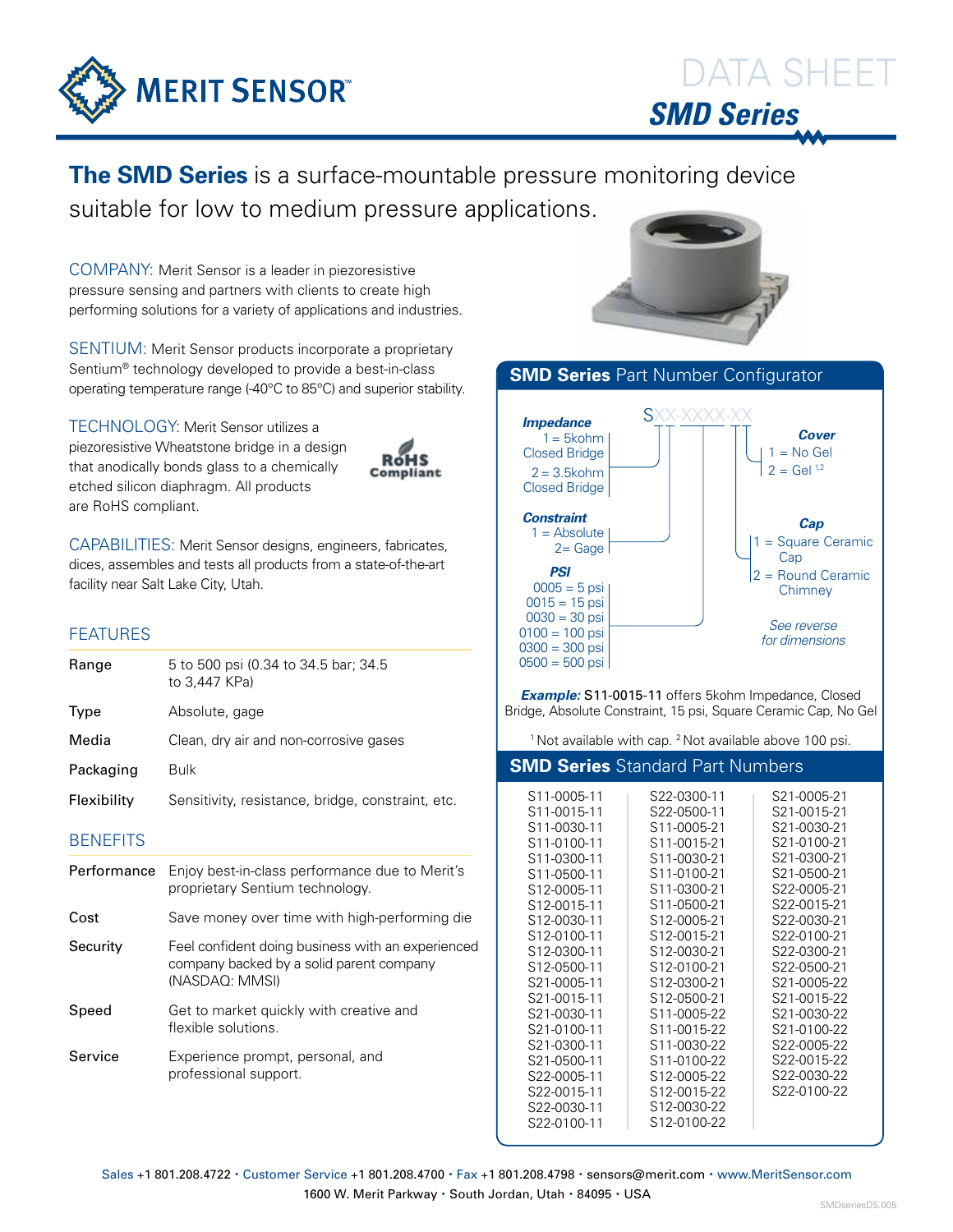

**The SMD Series** is a surface-mountable pressure monitoring device suitable for low to medium pressure applications.

COMPANY: Merit Sensor is a leader in piezoresistive pressure sensing and partners with clients to create high performing solutions for a variety of applications and industries.

SENTIUM: Merit Sensor products incorporate a proprietary Sentium® technology developed to provide a best-in-class operating temperature range (-40°C to 85°C) and superior stability.

TECHNOLOGY: Merit Sensor utilizes a piezoresistive Wheatstone bridge in a design that anodically bonds glass to a chemically etched silicon diaphragm. All products are RoHS compliant.



CAPABILITIES: Merit Sensor designs, engineers, fabricates, dices, assembles and tests all products from a state-of-the-art facility near Salt Lake City, Utah.

# FEATURES

| Range       | 5 to 500 psi (0.34 to 34.5 bar; 34.5<br>to 3.447 KPa) |
|-------------|-------------------------------------------------------|
| Type        | Absolute, gage                                        |
| Media       | Clean, dry air and non-corrosive gases                |
| Packaging   | <b>Bulk</b>                                           |
| Flexibility | Sensitivity, resistance, bridge, constraint, etc.     |

## **BENEFITS**

| Performance | Enjoy best-in-class performance due to Merit's<br>proprietary Sentium technology.                               |
|-------------|-----------------------------------------------------------------------------------------------------------------|
| Cost        | Save money over time with high-performing die                                                                   |
| Security    | Feel confident doing business with an experienced<br>company backed by a solid parent company<br>(NASDAQ: MMSI) |
| Speed       | Get to market quickly with creative and<br>flexible solutions.                                                  |
| Service     | Experience prompt, personal, and<br>professional support.                                                       |





*Example:* S11-0015-11 offers 5kohm Impedance, Closed Bridge, Absolute Constraint, 15 psi, Square Ceramic Cap, No Gel

<sup>1</sup> Not available with cap. <sup>2</sup> Not available above 100 psi.

| <b>SMD Series</b> Standard Part Numbers                                                                                                                                                                                                                                                                                                                        |                                                                                                                                                                                                                                                                                                                                                                                                                    |                                                                                                                                                                                                                                                                                                          |  |  |  |  |  |  |
|----------------------------------------------------------------------------------------------------------------------------------------------------------------------------------------------------------------------------------------------------------------------------------------------------------------------------------------------------------------|--------------------------------------------------------------------------------------------------------------------------------------------------------------------------------------------------------------------------------------------------------------------------------------------------------------------------------------------------------------------------------------------------------------------|----------------------------------------------------------------------------------------------------------------------------------------------------------------------------------------------------------------------------------------------------------------------------------------------------------|--|--|--|--|--|--|
| S <sub>11</sub> -0005-11<br>S11-0015-11<br>S <sub>11</sub> -0030-11<br>S11-0100-11<br>S11-0300-11<br>S11-0500-11<br>S12-0005-11<br>S12-0015-11<br>S12-0030-11<br>S <sub>12</sub> -0100-11<br>S12-0300-11<br>S12-0500-11<br>S21-0005-11<br>S21-0015-11<br>S21-0030-11<br>S21-0100-11<br>S21-0300-11<br>S21-0500-11<br>S22-0005-11<br>S22-0015-11<br>S22-0030-11 | S22-0300-11<br>S22-0500-11<br>S <sub>11</sub> -0005-21<br>S11-0015-21<br>S11-0030-21<br>S11-0100-21<br>S11-0300-21<br>S <sub>11</sub> -0500-21<br>S12-0005-21<br>S <sub>12</sub> -0015-21<br>S12-0030-21<br>S12-0100-21<br>S12-0300-21<br>S12-0500-21<br>S11-0005-22<br>S <sub>11</sub> -0015-22<br>S <sub>11</sub> -0030-22<br>S <sub>11</sub> -0100-22<br>S12-0005-22<br>S12-0015-22<br>S <sub>12</sub> -0030-22 | S21-0005-21<br>S21-0015-21<br>S21-0030-21<br>S21-0100-21<br>S21-0300-21<br>S21-0500-21<br>S22-0005-21<br>S22-0015-21<br>S22-0030-21<br>S22-0100-21<br>S22-0300-21<br>S22-0500-21<br>S21-0005-22<br>S21-0015-22<br>S21-0030-22<br>S21-0100-22<br>S22-0005-22<br>S22-0015-22<br>S22-0030-22<br>S22-0100-22 |  |  |  |  |  |  |
| S22-0100-11                                                                                                                                                                                                                                                                                                                                                    | S <sub>12</sub> -0100-22                                                                                                                                                                                                                                                                                                                                                                                           |                                                                                                                                                                                                                                                                                                          |  |  |  |  |  |  |

Sales +1 801.208.4722 · Customer Service +1 801.208.4700 · Fax +1 801.208.4798 · sensors@merit.com · www.MeritSensor.com